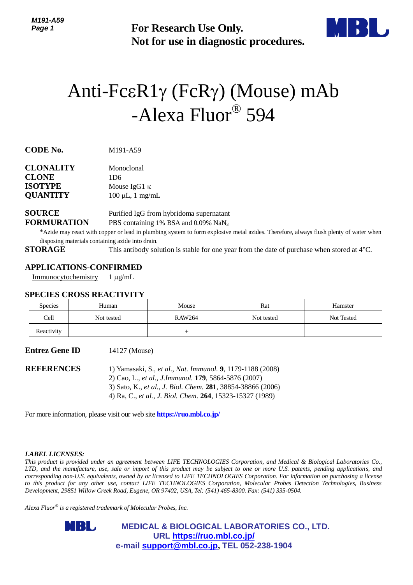**Not for use in diagnostic procedures.**



# For Research Use Only.<br>
Not for use in diagnostic procedure<br>  $^2CER1\gamma$  ( $\begin{array}{l} \text{FCR}\gamma \end{array}$ ) (MOUSE)<br>  $^2\text{-Alexa Fluor}^{\textcircled B}594$ <br>  $^{191-AS9}$ <br>  $^{196}$ <br>  $^{195}$ <br>  $^{191-AS9}$ <br>  $^{196}$ <br>  $^{191-AS9}$ <br>  $^{191-AS9}$ <br>  $^{191-AS9}$ <br>  $^{191$ Anti-Fc $\epsilon R1\gamma$  (FcR $\gamma$ ) (Mouse) mAb -Alexa Fluor® 594

**CODE No.** M191-A59

| <b>CLONALITY</b> | Monoclonal            |  |  |
|------------------|-----------------------|--|--|
| <b>CLONE</b>     | 1D6                   |  |  |
| <b>ISOTYPE</b>   | Mouse $IgG1 \kappa$   |  |  |
| <b>QUANTITY</b>  | $100 \mu L$ , 1 mg/mL |  |  |

# **SOURCE** Purified IgG from hybridoma supernatant **FORMURATION** PBS containing 1% BSA and 0.09% NaN<sub>3</sub>

\*Azide may react with copper or lead in plumbing system to form explosive metal azides. Therefore, always flush plenty of water when disposing materials containing azide into drain.

**STORAGE** This antibody solution is stable for one year from the date of purchase when stored at 4°C.

# **APPLICATIONS-CONFIRMED**

Immunocytochemistry 1 µg/mL

### **SPECIES CROSS REACTIVITY**

| <b>Species</b> | Human      | Mouse         | Rat        | Hamster    |
|----------------|------------|---------------|------------|------------|
| Cell           | Not tested | <b>RAW264</b> | Not tested | Not Tested |
| Reactivity     |            |               |            |            |

**Entrez Gene ID** 14127 (Mouse)

**REFERENCES** 1) Yamasaki, S., *et al.*, *Nat. Immunol.* **9**, 1179-1188 (2008) 2) Cao, L., *et al., J.Immunol.* **179**, 5864-5876 (2007) 3) Sato, K., *et al.*, *J. Biol. Chem.* **281**, 38854-38866 (2006) 4) Ra, C., *et al.*, *J. Biol. Chem.* **264**, 15323-15327 (1989)

For more information, please visit our web site **https://ruo.mbl.co.jp/**

### *LABEL LICENSES:*

*This product is provided under an agreement between LIFE TECHNOLOGIES Corporation, and Medical & Biological Laboratories Co., LTD, and the manufacture, use, sale or import of this product may be subject to one or more U.S. patents, pending applications, and corresponding non-U.S. equivalents, owned by or licensed to LIFE TECHNOLOGIES Corporation. For information on purchasing a license to this product for any other use, contact LIFE TECHNOLOGIES Corporation, Molecular Probes Detection Technologies, Business Development, 29851 Willow Creek Road, Eugene, OR 97402, USA, Tel: (541) 465-8300. Fax: (541) 335-0504.*

*Alexa Fluor® is a registered trademark of Molecular Probes, Inc.*

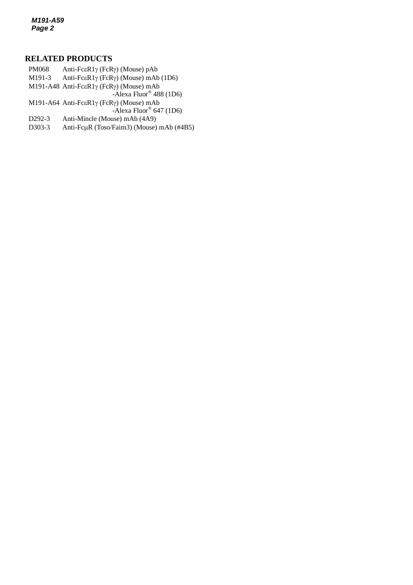*M191-A59 Page 2*

# **RELATED PRODUCTS**

M191-3 Anti-Fc $\epsilon$ R1 $\gamma$  (FcR $\gamma$ ) (Mouse) mAb (1D6) PM068 Anti-Fc $\epsilon$ R1 $\gamma$  (FcR $\gamma$ ) (Mouse) pAb M191-A48 Anti-Fc $\epsilon$ R1 $\gamma$  (FcR $\gamma$ ) (Mouse) mAb -Alexa Fluor® 488 (1D6) M191-A64 Anti-Fc $\epsilon$ R1 $\gamma$  (FcR $\gamma$ ) (Mouse) mAb -Alexa Fluor® 647 (1D6) D292-3 Anti-Mincle (Mouse) mAb (4A9) D303-3 Anti-Fc $\mu$ R (Toso/Faim3) (Mouse) mAb (#4B5)